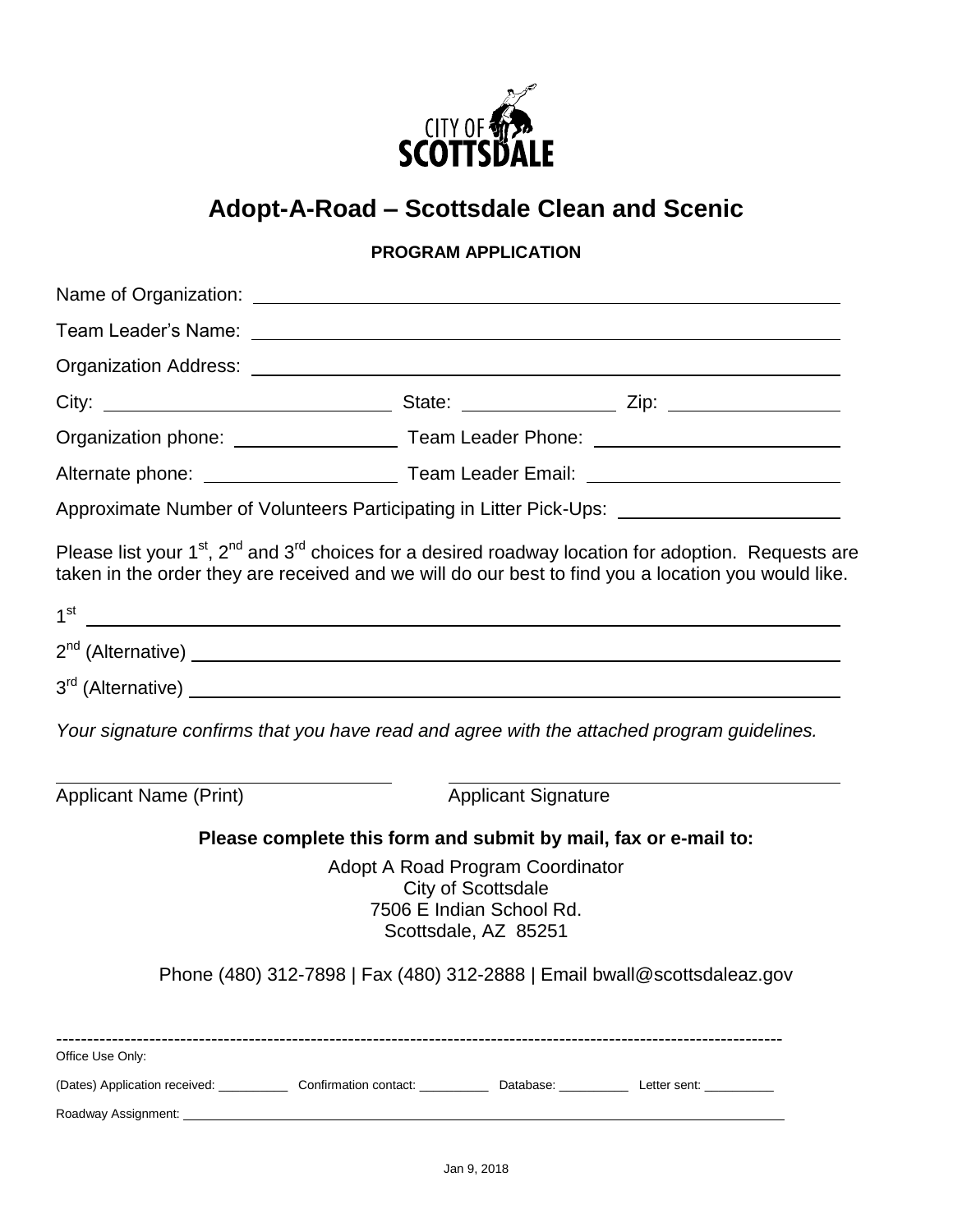

# **Adopt-A-Road – Scottsdale Clean and Scenic**

### **PROGRAM APPLICATION**

|                                                                                                                                                                                                                                                                                                                                                                                                                                                                                        |                                                                               | Organization phone: __________________________Team Leader Phone: ___________________________________ |  |  |  |
|----------------------------------------------------------------------------------------------------------------------------------------------------------------------------------------------------------------------------------------------------------------------------------------------------------------------------------------------------------------------------------------------------------------------------------------------------------------------------------------|-------------------------------------------------------------------------------|------------------------------------------------------------------------------------------------------|--|--|--|
|                                                                                                                                                                                                                                                                                                                                                                                                                                                                                        |                                                                               |                                                                                                      |  |  |  |
| Approximate Number of Volunteers Participating in Litter Pick-Ups: ______________                                                                                                                                                                                                                                                                                                                                                                                                      |                                                                               |                                                                                                      |  |  |  |
| Please list your 1 <sup>st</sup> , 2 <sup>nd</sup> and 3 <sup>rd</sup> choices for a desired roadway location for adoption. Requests are<br>taken in the order they are received and we will do our best to find you a location you would like.<br>$1^{\text{st}}$ . The contract of the contract of the contract of the contract of the contract of the contract of the contract of the contract of the contract of the contract of the contract of the contract of the contract of t |                                                                               |                                                                                                      |  |  |  |
|                                                                                                                                                                                                                                                                                                                                                                                                                                                                                        |                                                                               |                                                                                                      |  |  |  |
|                                                                                                                                                                                                                                                                                                                                                                                                                                                                                        |                                                                               |                                                                                                      |  |  |  |
| Your signature confirms that you have read and agree with the attached program guidelines.                                                                                                                                                                                                                                                                                                                                                                                             |                                                                               |                                                                                                      |  |  |  |
| <b>Applicant Name (Print)</b>                                                                                                                                                                                                                                                                                                                                                                                                                                                          |                                                                               | <b>Applicant Signature</b>                                                                           |  |  |  |
| Please complete this form and submit by mail, fax or e-mail to:                                                                                                                                                                                                                                                                                                                                                                                                                        |                                                                               |                                                                                                      |  |  |  |
|                                                                                                                                                                                                                                                                                                                                                                                                                                                                                        | <b>City of Scottsdale</b><br>7506 E Indian School Rd.<br>Scottsdale, AZ 85251 | Adopt A Road Program Coordinator                                                                     |  |  |  |
| Phone (480) 312-7898   Fax (480) 312-2888   Email bwall@scottsdaleaz.gov                                                                                                                                                                                                                                                                                                                                                                                                               |                                                                               |                                                                                                      |  |  |  |
| Office Use Only:                                                                                                                                                                                                                                                                                                                                                                                                                                                                       |                                                                               |                                                                                                      |  |  |  |
| (Dates) Application received: Confirmation contact: Cambridge: Catabase: Catabase: Letter sent: Catabase: Letter sent:<br>Roadway Assignment: New York Channels and the Channels of the Channels of the Channels of the Channels of the Channels of the Channels of the Channels of the Channels of the Channels of the Channels of the Channels of the                                                                                                                                |                                                                               |                                                                                                      |  |  |  |
|                                                                                                                                                                                                                                                                                                                                                                                                                                                                                        |                                                                               |                                                                                                      |  |  |  |